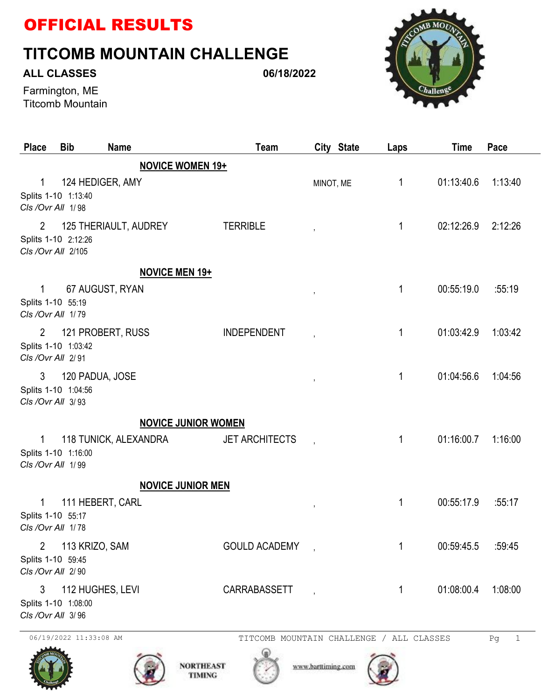## OFFICIAL RESULTS

## **TITCOMB MOUNTAIN CHALLENGE**

## **ALL CLASSES**

**06/18/2022**



Farmington, ME Titcomb Mountain

| <b>Place</b>                                 | <b>Bib</b>                                 | <b>Name</b>              | Team                                                         | City State               | Laps | <b>Time</b> | Pace    |
|----------------------------------------------|--------------------------------------------|--------------------------|--------------------------------------------------------------|--------------------------|------|-------------|---------|
|                                              |                                            | <b>NOVICE WOMEN 19+</b>  |                                                              |                          |      |             |         |
| 1<br>CIs /Ovr All 1/98                       | Splits 1-10 1:13:40                        | 124 HEDIGER, AMY         |                                                              | MINOT, ME                | 1    | 01:13:40.6  | 1:13:40 |
| $\overline{2}$                               | Splits 1-10 2:12:26<br>Cls / Ovr All 2/105 | 125 THERIAULT, AUDREY    | <b>TERRIBLE</b>                                              |                          | 1    | 02:12:26.9  | 2:12:26 |
|                                              |                                            | <b>NOVICE MEN 19+</b>    |                                                              |                          |      |             |         |
| 1<br>Splits 1-10 55:19<br>CIs / Ovr All 1/79 |                                            | 67 AUGUST, RYAN          |                                                              | $\,$                     | 1    | 00:55:19.0  | :55:19  |
| $\overline{2}$<br>CIs / Ovr All 2/91         | Splits 1-10 1:03:42                        | 121 PROBERT, RUSS        | <b>INDEPENDENT</b>                                           |                          | 1    | 01:03:42.9  | 1:03:42 |
| 3<br>CIs /Ovr All 3/93                       | Splits 1-10 1:04:56                        | 120 PADUA, JOSE          |                                                              | $\,$                     | 1    | 01:04:56.6  | 1:04:56 |
|                                              |                                            |                          | <b>NOVICE JUNIOR WOMEN</b>                                   |                          |      |             |         |
| 1<br>CIs / Ovr All 1/99                      | Splits 1-10 1:16:00                        | 118 TUNICK, ALEXANDRA    | <b>JET ARCHITECTS</b>                                        | $\overline{\phantom{a}}$ | 1    | 01:16:00.7  | 1:16:00 |
|                                              |                                            | <b>NOVICE JUNIOR MEN</b> |                                                              |                          |      |             |         |
| 1<br>Splits 1-10 55:17<br>CIs / Ovr All 1/78 |                                            | 111 HEBERT, CARL         |                                                              | $\overline{\phantom{a}}$ | 1    | 00:55:17.9  | :55:17  |
| $\overline{2}$<br>CIs /Ovr All 2/90          | 113 KRIZO, SAM<br>Splits 1-10 59:45        |                          | <b>GOULD ACADEMY</b>                                         |                          | 1    | 00:59:45.5  | :59:45  |
| 3<br>CIs /Ovr All 3/96                       | Splits 1-10 1:08:00                        | 112 HUGHES, LEVI         | <b>CARRABASSETT</b>                                          |                          | 1    | 01:08:00.4  | 1:08:00 |
|                                              | 06/19/2022 11:33:08 AM                     |                          | TITCOMB MOUNTAIN CHALLENGE / ALL CLASSES<br><b>NORTHEAST</b> | www.barttiming.com       |      |             | Pg<br>1 |

**TIMING**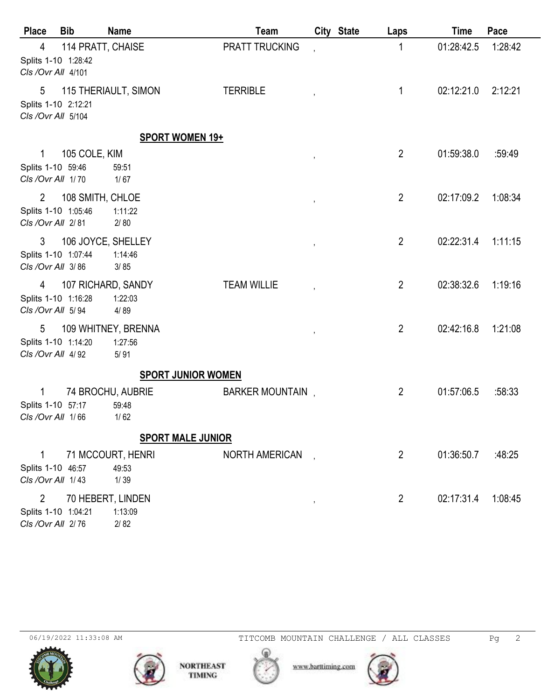| <b>Place</b>                                                | <b>Bib</b>         | <b>Name</b>                            | Team                  | City State               | Laps           | <b>Time</b> | Pace    |
|-------------------------------------------------------------|--------------------|----------------------------------------|-----------------------|--------------------------|----------------|-------------|---------|
| 4<br>Splits 1-10 1:28:42<br>CIs / Ovr All 4/101             | 114 PRATT, CHAISE  |                                        | <b>PRATT TRUCKING</b> |                          | 1              | 01:28:42.5  | 1:28:42 |
| 5<br>Splits 1-10 2:12:21<br>CIs /Ovr All 5/104              |                    | 115 THERIAULT, SIMON                   | <b>TERRIBLE</b>       |                          | 1              | 02:12:21.0  | 2:12:21 |
|                                                             |                    | <b>SPORT WOMEN 19+</b>                 |                       |                          |                |             |         |
| 1<br>Splits 1-10 59:46<br>CIs / Ovr All 1/70                | 105 COLE, KIM      | 59:51<br>$1/67$                        |                       | $\overline{\phantom{a}}$ | $\overline{2}$ | 01:59:38.0  | :59:49  |
| $\overline{2}$<br>Splits 1-10 1:05:46<br>CIs / Ovr All 2/81 | 108 SMITH, CHLOE   | 1:11:22<br>2/80                        |                       |                          | $\overline{2}$ | 02:17:09.2  | 1:08:34 |
| 3<br>Splits 1-10 1:07:44<br>CIs /Ovr All 3/86               | 106 JOYCE, SHELLEY | 1:14:46<br>3/85                        |                       | $\overline{\phantom{a}}$ | $\overline{2}$ | 02:22:31.4  | 1:11:15 |
| 4<br>Splits 1-10 1:16:28<br>CIs /Ovr All 5/94               |                    | 107 RICHARD, SANDY<br>1:22:03<br>4/89  | <b>TEAM WILLIE</b>    |                          | $\overline{2}$ | 02:38:32.6  | 1:19:16 |
| 5<br>Splits 1-10 1:14:20<br>CIs / Ovr All 4/92              |                    | 109 WHITNEY, BRENNA<br>1:27:56<br>5/91 |                       |                          | $\overline{2}$ | 02:42:16.8  | 1:21:08 |
|                                                             |                    | <b>SPORT JUNIOR WOMEN</b>              |                       |                          |                |             |         |
| 1<br>Splits 1-10 57:17<br>CIs /Ovr All 1/66                 |                    | 74 BROCHU, AUBRIE<br>59:48<br>1/62     | BARKER MOUNTAIN,      |                          | $\overline{2}$ | 01:57:06.5  | :58:33  |
|                                                             |                    | <b>SPORT MALE JUNIOR</b>               |                       |                          |                |             |         |
| 1<br>Splits 1-10 46:57<br>CIs / Ovr All 1/43                |                    | 71 MCCOURT, HENRI<br>49:53<br>$1/39$   | <b>NORTH AMERICAN</b> |                          | $\overline{2}$ | 01:36:50.7  | :48:25  |
| $\overline{2}$<br>Splits 1-10 1:04:21<br>Cls /Ovr All 2/76  |                    | 70 HEBERT, LINDEN<br>1:13:09<br>2/82   |                       | $^\mathrm{''}$           | $\overline{2}$ | 02:17:31.4  | 1:08:45 |







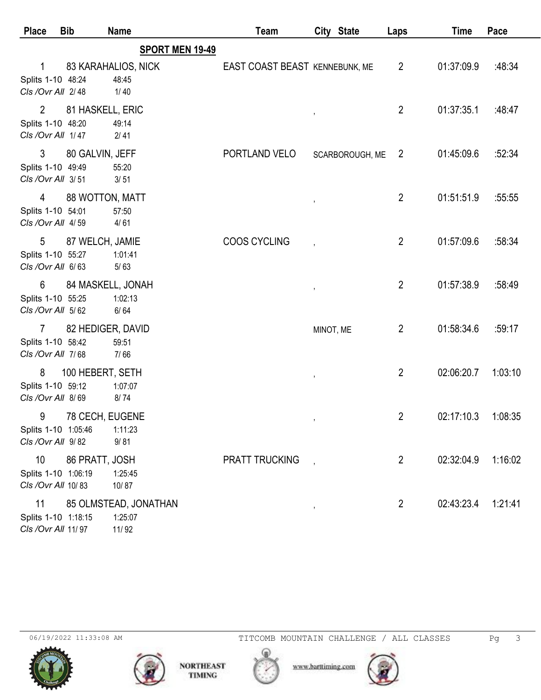| <b>Place</b>                                              | <b>Bib</b>        | <b>Name</b>                               | Team                           |               | City State      | Laps           | <b>Time</b> | Pace    |
|-----------------------------------------------------------|-------------------|-------------------------------------------|--------------------------------|---------------|-----------------|----------------|-------------|---------|
|                                                           |                   | <b>SPORT MEN 19-49</b>                    |                                |               |                 |                |             |         |
| 1<br>Splits 1-10 48:24                                    |                   | 83 KARAHALIOS, NICK<br>48:45              | EAST COAST BEAST KENNEBUNK, ME |               |                 | $\overline{2}$ | 01:37:09.9  | :48:34  |
| CIs / Ovr All 2/48                                        |                   | $1/40$                                    |                                |               |                 |                |             |         |
| $\overline{2}$<br>Splits 1-10 48:20<br>CIs / Ovr All 1/47 | 81 HASKELL, ERIC  | 49:14<br>2/41                             |                                |               |                 | $\overline{2}$ | 01:37:35.1  | :48:47  |
| 3<br>Splits 1-10 49:49<br>Cls /Ovr All 3/51               | 80 GALVIN, JEFF   | 55:20<br>3/51                             | PORTLAND VELO                  |               | SCARBOROUGH, ME | $\overline{2}$ | 01:45:09.6  | :52:34  |
| 4<br>Splits 1-10 54:01<br>Cls /Ovr All 4/59               | 88 WOTTON, MATT   | 57:50<br>4/61                             |                                |               |                 | $\overline{2}$ | 01:51:51.9  | :55:55  |
| 5<br>Splits 1-10 55:27<br>CIs /Ovr All 6/63               | 87 WELCH, JAMIE   | 1:01:41<br>$5/63$                         | <b>COOS CYCLING</b>            |               |                 | $\overline{2}$ | 01:57:09.6  | :58:34  |
| 6<br>Splits 1-10 55:25<br>CIs /Ovr All 5/62               | 84 MASKELL, JONAH | 1:02:13<br>6/64                           |                                |               |                 | $\overline{2}$ | 01:57:38.9  | :58:49  |
| $\overline{7}$<br>Splits 1-10 58:42<br>CIs /Ovr All 7/68  | 82 HEDIGER, DAVID | 59:51<br>7/66                             |                                | MINOT, ME     |                 | $\overline{2}$ | 01:58:34.6  | :59:17  |
| 8<br>Splits 1-10 59:12<br>CIs /Ovr All 8/69               | 100 HEBERT, SETH  | 1:07:07<br>8/74                           |                                |               |                 | $\overline{2}$ | 02:06:20.7  | 1:03:10 |
| 9<br>Splits 1-10 1:05:46<br>CIs /Ovr All 9/82             | 78 CECH, EUGENE   | 1:11:23<br>9/81                           |                                |               |                 | 2              | 02:17:10.3  | 1:08:35 |
| 10<br>Splits 1-10 1:06:19<br>CIs / Ovr All 10/83          | 86 PRATT, JOSH    | 1:25:45<br>10/87                          | <b>PRATT TRUCKING</b>          |               |                 | $\overline{2}$ | 02:32:04.9  | 1:16:02 |
| 11<br>Splits 1-10 1:18:15<br>Cls / Ovr All 11/97          |                   | 85 OLMSTEAD, JONATHAN<br>1:25:07<br>11/92 |                                | $\pmb{\cdot}$ |                 | $\overline{2}$ | 02:43:23.4  | 1:21:41 |







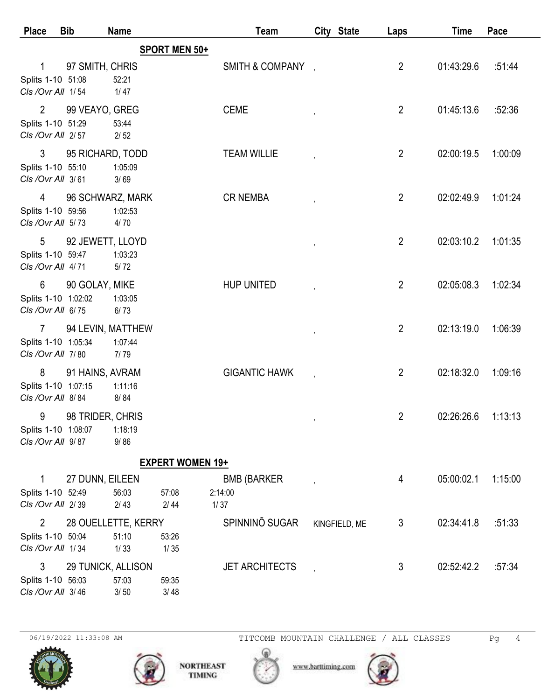| <b>Place</b>                                                | <b>Bib</b>         | <b>Name</b>                          |                         | Team                                  |   | City State    | Laps           | Time       | Pace    |
|-------------------------------------------------------------|--------------------|--------------------------------------|-------------------------|---------------------------------------|---|---------------|----------------|------------|---------|
|                                                             |                    |                                      | SPORT MEN 50+           |                                       |   |               |                |            |         |
| 1<br>Splits 1-10 51:08<br>CIs / Ovr All 1/54                | 97 SMITH, CHRIS    | 52:21<br>1/47                        |                         | SMITH & COMPANY .                     |   |               | $\overline{2}$ | 01:43:29.6 | :51:44  |
| $\overline{2}$<br>Splits 1-10 51:29<br>CIs / Ovr All 2/57   | 99 VEAYO, GREG     | 53:44<br>$2/52$                      |                         | <b>CEME</b>                           |   |               | $\overline{2}$ | 01:45:13.6 | :52:36  |
| 3<br>Splits 1-10 55:10<br>CIs / Ovr All 3/61                | 95 RICHARD, TODD   | 1:05:09<br>3/69                      |                         | <b>TEAM WILLIE</b>                    |   |               | $\overline{2}$ | 02:00:19.5 | 1:00:09 |
| 4<br>Splits 1-10 59:56<br>Cls /Ovr All 5/73                 | 96 SCHWARZ, MARK   | 1:02:53<br>4/70                      |                         | <b>CR NEMBA</b>                       |   |               | $\overline{2}$ | 02:02:49.9 | 1:01:24 |
| 5<br>Splits 1-10 59:47<br>Cls /Ovr All 4/71                 | 92 JEWETT, LLOYD   | 1:03:23<br>5/72                      |                         |                                       |   |               | $\overline{2}$ | 02:03:10.2 | 1:01:35 |
| 6<br>Splits 1-10 1:02:02<br>CIs / Ovr All 6/75              | 90 GOLAY, MIKE     | 1:03:05<br>$6/73$                    |                         | <b>HUP UNITED</b>                     |   |               | $\overline{2}$ | 02:05:08.3 | 1:02:34 |
| $\overline{7}$<br>Splits 1-10 1:05:34<br>CIs / Ovr All 7/80 | 94 LEVIN, MATTHEW  | 1:07:44<br>7/79                      |                         |                                       | , |               | $\overline{2}$ | 02:13:19.0 | 1:06:39 |
| 8<br>Splits 1-10 1:07:15<br>CIs / Ovr All 8/84              | 91 HAINS, AVRAM    | 1:11:16<br>8/84                      |                         | <b>GIGANTIC HAWK</b>                  |   |               | $\overline{2}$ | 02:18:32.0 | 1:09:16 |
| 9<br>Splits 1-10 1:08:07<br>CIs /Ovr All 9/87               | 98 TRIDER, CHRIS   | 1:18:19<br>9/86                      |                         |                                       |   |               | $\overline{2}$ | 02:26:26.6 | 1:13:13 |
|                                                             |                    |                                      | <b>EXPERT WOMEN 19+</b> |                                       |   |               |                |            |         |
| 1<br>Splits 1-10 52:49<br>Cls /Ovr All 2/39                 | 27 DUNN, EILEEN    | 56:03<br>$2/43$                      | 57:08<br>2/44           | <b>BMB (BARKER</b><br>2:14:00<br>1/37 |   |               | 4              | 05:00:02.1 | 1:15:00 |
| $\overline{2}$<br>Splits 1-10 50:04<br>CIs / Ovr All 1/34   |                    | 28 OUELLETTE, KERRY<br>51:10<br>1/33 | 53:26<br>$1/35$         | SPINNINO SUGAR                        |   | KINGFIELD, ME | 3              | 02:34:41.8 | :51:33  |
| 3<br>Splits 1-10 56:03<br>CIs /Ovr All 3/46                 | 29 TUNICK, ALLISON | 57:03<br>$3/50$                      | 59:35<br>3/48           | <b>JET ARCHITECTS</b>                 |   |               | 3              | 02:52:42.2 | :57:34  |



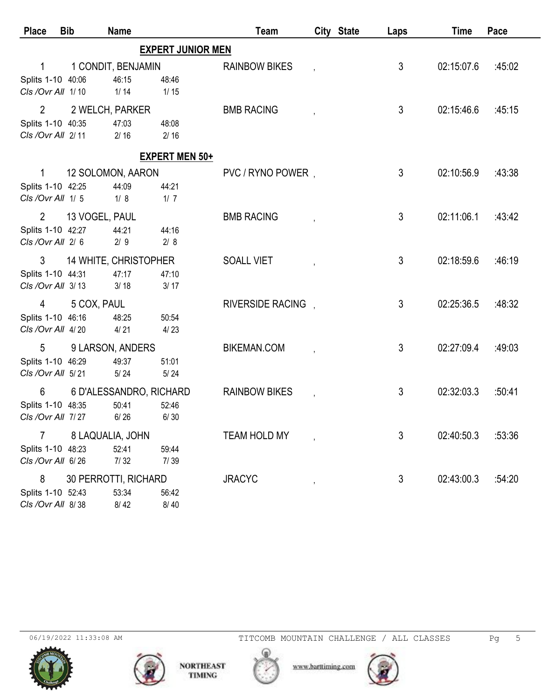| <b>Place</b>                                              | <b>Bib</b>     | <b>Name</b>                              |                          | Team                 | City State | Laps           | <b>Time</b> | Pace   |
|-----------------------------------------------------------|----------------|------------------------------------------|--------------------------|----------------------|------------|----------------|-------------|--------|
|                                                           |                |                                          | <b>EXPERT JUNIOR MEN</b> |                      |            |                |             |        |
| Splits 1-10 40:06<br>CIs / Ovr All 1/10                   |                | 1 CONDIT, BENJAMIN<br>46:15<br>$1/14$    | 48:46<br>1/15            | <b>RAINBOW BIKES</b> |            | 3              | 02:15:07.6  | :45:02 |
| $\overline{2}$<br>Splits 1-10 40:35<br>CIs / Ovr All 2/11 |                | 2 WELCH, PARKER<br>47:03<br>$2/16$       | 48:08<br>$2/16$          | <b>BMB RACING</b>    |            | 3              | 02:15:46.6  | :45:15 |
|                                                           |                |                                          | <b>EXPERT MEN 50+</b>    |                      |            |                |             |        |
| $\mathbf{1}$<br>Splits 1-10 42:25<br>Cls /Ovr All 1/5     |                | 12 SOLOMON, AARON<br>44:09<br>1/8        | 44:21<br>1/7             | PVC / RYNO POWER,    |            | 3              | 02:10:56.9  | :43:38 |
| $\overline{2}$<br>Splits 1-10 42:27<br>CIs /Ovr All 2/6   | 13 VOGEL, PAUL | 44:21<br>$2/9$                           | 44:16<br>2/8             | <b>BMB RACING</b>    |            | $\mathfrak{Z}$ | 02:11:06.1  | :43:42 |
| 3<br>Splits 1-10 44:31<br>CIs / Ovr All 3/13              |                | 14 WHITE, CHRISTOPHER<br>47:17<br>3/18   | 47:10<br>3/17            | <b>SOALL VIET</b>    |            | 3              | 02:18:59.6  | :46:19 |
| 4<br>Splits 1-10 46:16<br>CIs / Ovr All 4/20              | 5 COX, PAUL    | 48:25<br>4/21                            | 50:54<br>4/23            | RIVERSIDE RACING.    |            | 3              | 02:25:36.5  | :48:32 |
| 5<br>Splits 1-10 46:29<br>CIs / Ovr All 5/21              |                | 9 LARSON, ANDERS<br>49:37<br>$5/24$      | 51:01<br>$5/24$          | <b>BIKEMAN.COM</b>   |            | 3              | 02:27:09.4  | :49:03 |
| 6<br>Splits 1-10 48:35<br>CIs / Ovr All 7/27              |                | 6 D'ALESSANDRO, RICHARD<br>50:41<br>6/26 | 52:46<br>6/30            | <b>RAINBOW BIKES</b> |            | 3              | 02:32:03.3  | :50:41 |
| $\overline{7}$<br>Splits 1-10 48:23<br>CIs /Ovr All 6/26  |                | 8 LAQUALIA, JOHN<br>52:41<br>7/32        | 59:44<br>7/39            | TEAM HOLD MY         |            | 3              | 02:40:50.3  | :53:36 |
| 8<br>Splits 1-10 52:43<br>CIs / Ovr All 8/38              |                | 30 PERROTTI, RICHARD<br>53:34<br>8/42    | 56:42<br>8/40            | <b>JRACYC</b>        |            | 3              | 02:43:00.3  | :54:20 |





www.barttiming.com

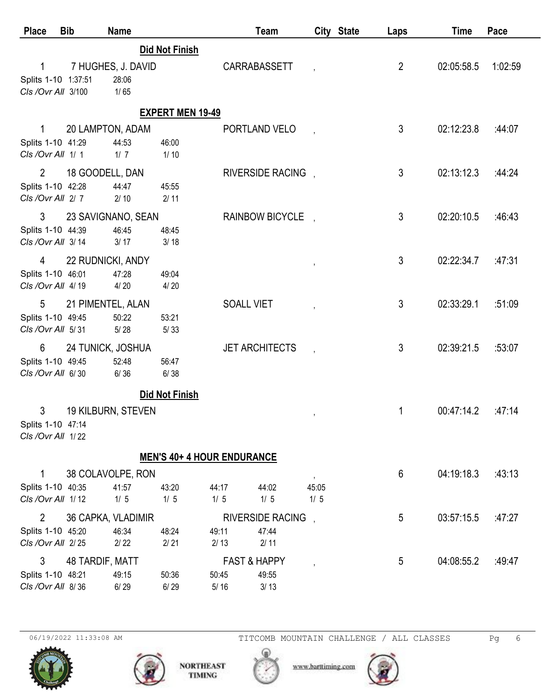| <b>Place</b>                                             | <b>Bib</b>      | <b>Name</b>                           |                                   |                                            | Team                                     |                        | City State | Laps           | <b>Time</b> | Pace    |
|----------------------------------------------------------|-----------------|---------------------------------------|-----------------------------------|--------------------------------------------|------------------------------------------|------------------------|------------|----------------|-------------|---------|
| 1                                                        |                 |                                       | <b>Did Not Finish</b>             |                                            | CARRABASSETT                             |                        |            | $\overline{2}$ | 02:05:58.5  | 1:02:59 |
| Splits 1-10 1:37:51<br>CIs / Ovr All 3/100               |                 | 7 HUGHES, J. DAVID<br>28:06<br>$1/65$ |                                   |                                            |                                          |                        |            |                |             |         |
|                                                          |                 |                                       | <b>EXPERT MEN 19-49</b>           |                                            |                                          |                        |            |                |             |         |
| 1<br>Splits 1-10 41:29<br>Cls /Ovr All 1/1               |                 | 20 LAMPTON, ADAM<br>44:53<br>1/7      | 46:00<br>$1/10$                   |                                            | PORTLAND VELO                            |                        |            | 3              | 02:12:23.8  | :44:07  |
| $\overline{2}$<br>Splits 1-10 42:28<br>CIs / Ovr All 2/7 | 18 GOODELL, DAN | 44:47<br>$2/10$                       | 45:55<br>2/11                     |                                            | RIVERSIDE RACING.                        |                        |            | $\mathfrak{Z}$ | 02:13:12.3  | :44.24  |
| 3<br>Splits 1-10 44:39<br>CIs / Ovr All 3/14             |                 | 23 SAVIGNANO, SEAN<br>46:45<br>3/17   | 48:45<br>3/18                     |                                            | RAINBOW BICYCLE,                         |                        |            | $\mathfrak{Z}$ | 02:20:10.5  | :46:43  |
| 4<br>Splits 1-10 46:01<br>CIs / Ovr All 4/19             |                 | 22 RUDNICKI, ANDY<br>47:28<br>4/20    | 49:04<br>4/20                     |                                            |                                          |                        |            | 3              | 02:22:34.7  | :47:31  |
| 5<br>Splits 1-10 49:45<br>Cls /Ovr All 5/31              |                 | 21 PIMENTEL, ALAN<br>50:22<br>$5/28$  | 53:21<br>5/33                     | <b>SOALL VIET</b>                          |                                          |                        |            | 3              | 02:33:29.1  | :51:09  |
| 6<br>Splits 1-10 49:45<br>CIs /Ovr All 6/30              |                 | 24 TUNICK, JOSHUA<br>52:48<br>6/36    | 56:47<br>6/38                     |                                            | <b>JET ARCHITECTS</b>                    |                        |            | $\mathfrak{Z}$ | 02:39:21.5  | :53:07  |
|                                                          |                 |                                       | <b>Did Not Finish</b>             |                                            |                                          |                        |            |                |             |         |
| 3<br>Splits 1-10 47:14<br>CIs / Ovr All 1/22             |                 | 19 KILBURN, STEVEN                    |                                   |                                            |                                          | $\,$                   |            | 1              | 00:47:14.2  | :47:14  |
|                                                          |                 |                                       | <b>MEN'S 40+ 4 HOUR ENDURANCE</b> |                                            |                                          |                        |            |                |             |         |
| 1<br>Splits 1-10 40:35<br>CIs / Ovr All 1/12             |                 | 38 COLAVOLPE, RON<br>41:57<br>$1/5$   | 43:20<br>$1/5$                    | 44:17<br>$1/5$                             | 44:02<br>$1/5$                           | $\,$<br>45:05<br>$1/5$ |            | 6              | 04:19:18.3  | :43:13  |
| $\overline{2}$<br>Splits 1-10 45:20<br>Cls /Ovr All 2/25 |                 | 36 CAPKA, VLADIMIR<br>46:34<br>$2/22$ | 48:24<br>$2/21$                   | 49:11<br>2/13                              | <b>RIVERSIDE RACING</b><br>47:44<br>2/11 |                        |            | 5              | 03:57:15.5  | :47:27  |
| 3<br>Splits 1-10 48:21<br>CIs / Ovr All 8/36             | 48 TARDIF, MATT | 49:15<br>6/29                         | 50:36<br>6/29                     | <b>FAST &amp; HAPPY</b><br>50:45<br>$5/16$ | 49:55<br>3/13                            |                        |            | 5              | 04:08:55.2  | :49:47  |



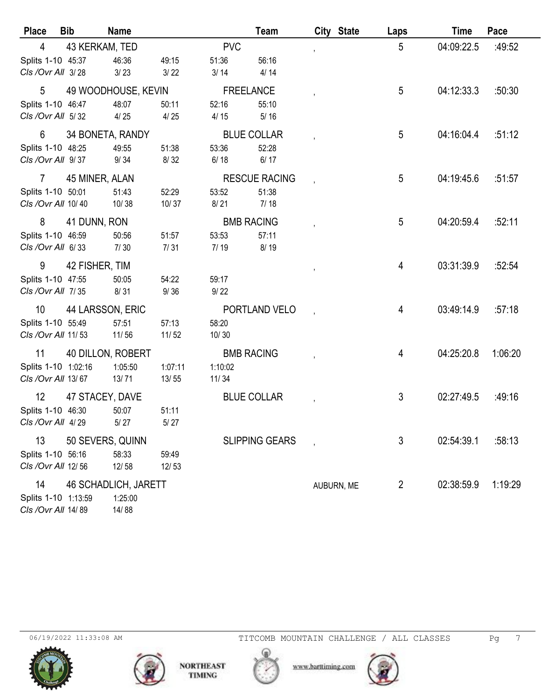| <b>Place</b>                             | <b>Bib</b>        | <b>Name</b>                 |                |                              | Team                  | City State | Laps           | <b>Time</b> | Pace    |
|------------------------------------------|-------------------|-----------------------------|----------------|------------------------------|-----------------------|------------|----------------|-------------|---------|
| 4                                        | 43 KERKAM, TED    |                             |                | <b>PVC</b>                   |                       |            | 5              | 04:09:22.5  | :49:52  |
| Splits 1-10 45:37                        |                   | 46:36                       | 49:15          | 51:36                        | 56:16                 |            |                |             |         |
| CIs / Ovr All 3/28                       |                   | 3/23                        | 3/22           | 3/14                         | 4/14                  |            |                |             |         |
| 5                                        |                   | 49 WOODHOUSE, KEVIN         |                | <b>FREELANCE</b>             |                       |            | 5              | 04:12:33.3  | :50:30  |
| Splits 1-10 46:47                        |                   | 48:07                       | 50:11          | 52:16                        | 55:10                 |            |                |             |         |
| CIs / Ovr All 5/32                       |                   | 4/25                        | 4/25           | 4/15                         | $5/16$                |            |                |             |         |
| 6                                        | 34 BONETA, RANDY  |                             |                | <b>BLUE COLLAR</b>           |                       |            | 5              | 04:16:04.4  | :51:12  |
| Splits 1-10 48:25                        |                   | 49:55                       | 51:38          | 53:36                        | 52:28                 |            |                |             |         |
| CIs / Ovr All 9/37                       |                   | 9/34                        | 8/32           | 6/18                         | 6/17                  |            |                |             |         |
| $\mathbf{7}$                             | 45 MINER, ALAN    |                             |                |                              | <b>RESCUE RACING</b>  |            | 5              | 04:19:45.6  | :51:57  |
| Splits 1-10 50:01                        |                   | 51:43                       | 52:29          | 53:52                        | 51:38                 |            |                |             |         |
| CIs / Ovr All 10/40                      |                   | 10/38                       | 10/37          | 8/21                         | 7/18                  |            |                |             |         |
| 8                                        | 41 DUNN, RON      |                             |                | <b>BMB RACING</b>            |                       |            | 5              | 04:20:59.4  | :52:11  |
| Splits 1-10 46:59<br>CIs / Ovr All 6/33  |                   | 50:56<br>7/30               | 51:57          | 53:53<br>7/19                | 57:11<br>8/19         |            |                |             |         |
|                                          |                   |                             | 7/31           |                              |                       |            |                |             |         |
| 9                                        | 42 FISHER, TIM    |                             |                |                              |                       |            | 4              | 03:31:39.9  | :52:54  |
| Splits 1-10 47:55<br>CIs / Ovr All 7/35  |                   | 50:05<br>8/31               | 54:22<br>9/36  | 59:17<br>9/22                |                       |            |                |             |         |
|                                          |                   |                             |                |                              |                       |            |                |             |         |
| 10                                       | 44 LARSSON, ERIC  |                             |                |                              | PORTLAND VELO         |            | 4              | 03:49:14.9  | :57:18  |
| Splits 1-10 55:49<br>CIs / Ovr All 11/53 |                   | 57:51<br>11/56              | 57:13<br>11/52 | 58:20<br>10/30               |                       |            |                |             |         |
|                                          |                   |                             |                |                              |                       |            |                |             |         |
| 11<br>Splits 1-10 1:02:16                | 40 DILLON, ROBERT | 1:05:50                     | 1:07:11        | <b>BMB RACING</b><br>1:10:02 |                       |            | 4              | 04:25:20.8  | 1:06:20 |
| Cls / Ovr All 13/67                      |                   | 13/71                       | 13/55          | 11/34                        |                       |            |                |             |         |
| 12                                       | 47 STACEY, DAVE   |                             |                | <b>BLUE COLLAR</b>           |                       |            | $\mathfrak{Z}$ | 02:27:49.5  | :49:16  |
| Splits 1-10 46:30                        |                   | 50:07                       | 51:11          |                              |                       |            |                |             |         |
| CIs / Ovr All 4/29                       |                   | $5/27$                      | $5/27$         |                              |                       |            |                |             |         |
| 13                                       | 50 SEVERS, QUINN  |                             |                |                              | <b>SLIPPING GEARS</b> |            | 3              | 02:54:39.1  | :58:13  |
| Splits 1-10 56:16                        |                   | 58:33                       | 59:49          |                              |                       |            |                |             |         |
| CIs / Ovr All 12/56                      |                   | 12/58                       | 12/53          |                              |                       |            |                |             |         |
| 14                                       |                   | <b>46 SCHADLICH, JARETT</b> |                |                              |                       | AUBURN, ME | $\overline{2}$ | 02:38:59.9  | 1:19:29 |
| Splits 1-10 1:13:59                      |                   | 1:25:00                     |                |                              |                       |            |                |             |         |
| CIs / Ovr All 14/89                      |                   | 14/88                       |                |                              |                       |            |                |             |         |



www.barttiming.com

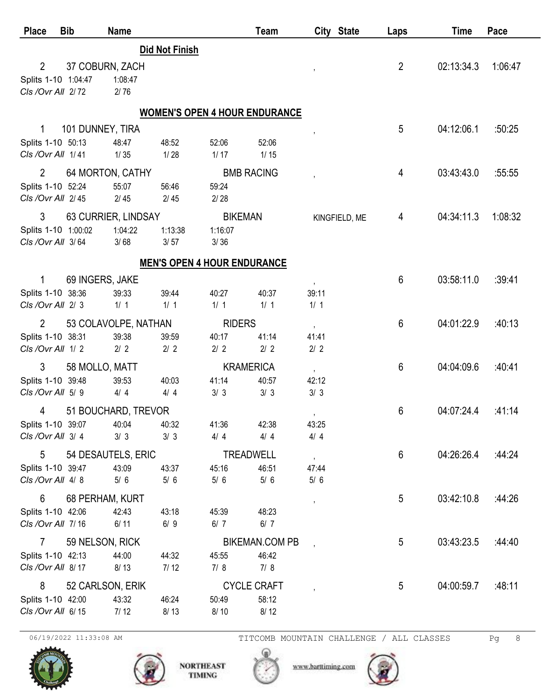| <b>Place</b>        | <b>Bib</b>       | <b>Name</b>          |                                      |                    | Team                  |                          | City State    | Laps           | Time       | Pace    |
|---------------------|------------------|----------------------|--------------------------------------|--------------------|-----------------------|--------------------------|---------------|----------------|------------|---------|
|                     |                  |                      | <b>Did Not Finish</b>                |                    |                       |                          |               |                |            |         |
| $\overline{2}$      |                  | 37 COBURN, ZACH      |                                      |                    |                       |                          |               | $\overline{2}$ | 02:13:34.3 | 1:06:47 |
| Splits 1-10 1:04:47 |                  | 1:08:47              |                                      |                    |                       |                          |               |                |            |         |
| Cls / Ovr All 2/72  |                  | 2/76                 |                                      |                    |                       |                          |               |                |            |         |
|                     |                  |                      | <b>WOMEN'S OPEN 4 HOUR ENDURANCE</b> |                    |                       |                          |               |                |            |         |
| 1                   | 101 DUNNEY, TIRA |                      |                                      |                    |                       |                          |               | 5              | 04:12:06.1 | :50:25  |
| Splits 1-10 50:13   |                  | 48:47                | 48:52                                | 52:06              | 52:06                 |                          |               |                |            |         |
| CIs / Ovr All 1/41  |                  | 1/35                 | 1/28                                 | 1/17               | $1/15$                |                          |               |                |            |         |
| $\overline{2}$      |                  | 64 MORTON, CATHY     |                                      | <b>BMB RACING</b>  |                       |                          |               | 4              | 03:43:43.0 | :55:55  |
| Splits 1-10 52:24   |                  | 55:07                | 56:46                                | 59:24              |                       |                          |               |                |            |         |
| Cls /Ovr All 2/45   |                  | $2/45$               | $2/45$                               | $2/28$             |                       |                          |               |                |            |         |
| 3                   |                  | 63 CURRIER, LINDSAY  |                                      | <b>BIKEMAN</b>     |                       |                          | KINGFIELD, ME | 4              | 04:34:11.3 | 1:08:32 |
| Splits 1-10 1:00:02 |                  | 1:04:22              | 1:13:38                              | 1:16:07            |                       |                          |               |                |            |         |
| CIs /Ovr All 3/64   |                  | 3/68                 | 3/57                                 | 3/36               |                       |                          |               |                |            |         |
|                     |                  |                      | <b>MEN'S OPEN 4 HOUR ENDURANCE</b>   |                    |                       |                          |               |                |            |         |
| 1                   | 69 INGERS, JAKE  |                      |                                      |                    |                       | $\mathbf{r}$             |               | 6              | 03:58:11.0 | :39:41  |
| Splits 1-10 38:36   |                  | 39:33                | 39:44                                | 40:27              | 40:37                 | 39:11                    |               |                |            |         |
| Cls /Ovr All 2/3    |                  | $1/1$                | 1/1                                  | 1/1                | 1/1                   | 1/1                      |               |                |            |         |
| $\overline{2}$      |                  | 53 COLAVOLPE, NATHAN |                                      | <b>RIDERS</b>      |                       | $\overline{\phantom{a}}$ |               | 6              | 04:01:22.9 | :40:13  |
| Splits 1-10 38:31   |                  | 39:38                | 39:59                                | 40:17              | 41:14                 | 41:41                    |               |                |            |         |
| Cls / Ovr All 1/2   |                  | $2/2$                | $2/2$                                | $2/2$              | $2/2$                 | $2/2$                    |               |                |            |         |
| 3                   | 58 MOLLO, MATT   |                      |                                      | <b>KRAMERICA</b>   |                       | $\overline{\phantom{a}}$ |               | 6              | 04:04:09.6 | :40:41  |
| Splits 1-10 39:48   |                  | 39:53                | 40:03                                | 41:14              | 40:57                 | 42:12                    |               |                |            |         |
| Cls /Ovr All 5/9    |                  | 4/4                  | 4/4                                  | 3/3                | 3/3                   | 3/3                      |               |                |            |         |
| 4                   |                  | 51 BOUCHARD, TREVOR  |                                      |                    |                       | $\,$                     |               | 6              | 04:07:24.4 | :41:14  |
| Splits 1-10 39:07   |                  | 40:04                | 40:32                                | 41:36              | 42:38                 | 43:25                    |               |                |            |         |
| CIs / Ovr All 3/4   |                  | 3/3                  | 3/3                                  | 4/4                | 4/4                   | 4/4                      |               |                |            |         |
| 5                   |                  | 54 DESAUTELS, ERIC   |                                      | <b>TREADWELL</b>   |                       | $\cdot$                  |               | 6              | 04:26:26.4 | :44:24  |
| Splits 1-10 39:47   |                  | 43:09                | 43:37                                | 45:16              | 46:51                 | 47:44                    |               |                |            |         |
| CIs / Ovr All 4/8   |                  | $5/6$                | $5/6$                                | $5/6$              | $5/6$                 | $5/6$                    |               |                |            |         |
| 6                   |                  | 68 PERHAM, KURT      |                                      |                    |                       | $^\mathrm{^{1}}$         |               | 5              | 03:42:10.8 | :44:26  |
| Splits 1-10 42:06   |                  | 42:43                | 43:18                                | 45:39              | 48:23                 |                          |               |                |            |         |
| CIs /Ovr All 7/16   |                  | 6/11                 | 6/9                                  | 6/7                | 6/7                   |                          |               |                |            |         |
| $\mathbf{7}$        | 59 NELSON, RICK  |                      |                                      |                    | <b>BIKEMAN.COM PB</b> |                          |               | 5              | 03:43:23.5 | :44:40  |
| Splits 1-10 42:13   |                  | 44:00                | 44:32                                | 45:55              | 46:42                 |                          |               |                |            |         |
| CIs / Ovr All 8/17  |                  | 8/13                 | 7/12                                 | 7/8                | 7/8                   |                          |               |                |            |         |
| 8                   |                  | 52 CARLSON, ERIK     |                                      | <b>CYCLE CRAFT</b> |                       | ,                        |               | 5              | 04:00:59.7 | :48:11  |
| Splits 1-10 42:00   |                  | 43:32                | 46:24                                | 50:49              | 58:12                 |                          |               |                |            |         |
| CIs / Ovr All 6/15  |                  | 7/12                 | 8/13                                 | 8/10               | 8/12                  |                          |               |                |            |         |



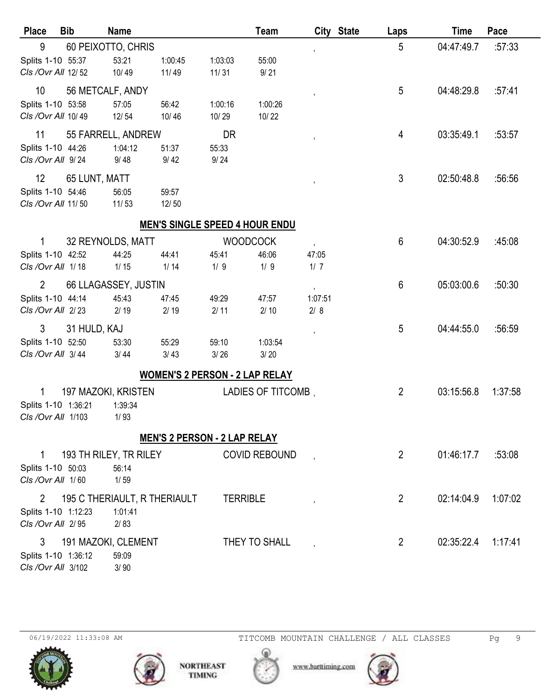| <b>Place</b>        | <b>Bib</b>    | <b>Name</b>                  |                                       |                 | Team                 |         | City State | Laps           | <b>Time</b> | Pace    |
|---------------------|---------------|------------------------------|---------------------------------------|-----------------|----------------------|---------|------------|----------------|-------------|---------|
| 9                   |               | 60 PEIXOTTO, CHRIS           |                                       |                 |                      | ,       |            | 5              | 04:47:49.7  | :57:33  |
| Splits 1-10 55:37   |               | 53:21                        | 1:00:45                               | 1:03:03         | 55:00                |         |            |                |             |         |
| Cls / Ovr All 12/52 |               | 10/49                        | 11/49                                 | 11/31           | 9/21                 |         |            |                |             |         |
| 10                  |               | 56 METCALF, ANDY             |                                       |                 |                      | ,       |            | 5              | 04:48:29.8  | :57:41  |
| Splits 1-10 53:58   |               | 57:05                        | 56:42                                 | 1:00:16         | 1:00:26              |         |            |                |             |         |
| CIs / Ovr All 10/49 |               | 12/54                        | 10/46                                 | 10/29           | 10/22                |         |            |                |             |         |
| 11                  |               | 55 FARRELL, ANDREW           |                                       | DR              |                      | ,       |            | 4              | 03:35:49.1  | :53:57  |
| Splits 1-10 44:26   |               | 1:04:12                      | 51:37                                 | 55:33           |                      |         |            |                |             |         |
| CIs / Ovr All 9/24  |               | 9/48                         | 9/42                                  | 9/24            |                      |         |            |                |             |         |
| 12                  | 65 LUNT, MATT |                              |                                       |                 |                      |         |            | 3              | 02:50:48.8  | :56:56  |
| Splits 1-10 54:46   |               | 56:05                        | 59:57                                 |                 |                      |         |            |                |             |         |
| CIs / Ovr All 11/50 |               | 11/53                        | 12/50                                 |                 |                      |         |            |                |             |         |
|                     |               |                              | <b>MEN'S SINGLE SPEED 4 HOUR ENDU</b> |                 |                      |         |            |                |             |         |
| 1                   |               | 32 REYNOLDS, MATT            |                                       | <b>WOODCOCK</b> |                      |         |            | 6              | 04:30:52.9  | :45:08  |
| Splits 1-10 42:52   |               | 44:25                        | 44:41                                 | 45:41           | 46:06                | 47:05   |            |                |             |         |
| CIs / Ovr All 1/18  |               | $1/15$                       | $1/14$                                | 1/9             | 1/9                  | 1/7     |            |                |             |         |
| $\overline{2}$      |               | 66 LLAGASSEY, JUSTIN         |                                       |                 |                      |         |            | 6              | 05:03:00.6  | :50:30  |
| Splits 1-10 44:14   |               | 45:43                        | 47:45                                 | 49:29           | 47:57                | 1:07:51 |            |                |             |         |
| Cls / Ovr All 2/23  |               | 2/19                         | 2/19                                  | 2/11            | $2/10$               | 2/8     |            |                |             |         |
| 3                   | 31 HULD, KAJ  |                              |                                       |                 |                      |         |            | 5              | 04:44:55.0  | :56:59  |
| Splits 1-10 52:50   |               | 53:30                        | 55:29                                 | 59:10           | 1:03:54              |         |            |                |             |         |
| CIs / Ovr All 3/44  |               | 3/44                         | 3/43                                  | 3/26            | 3/20                 |         |            |                |             |         |
|                     |               |                              | <b>WOMEN'S 2 PERSON - 2 LAP RELAY</b> |                 |                      |         |            |                |             |         |
| 1                   |               | 197 MAZOKI, KRISTEN          |                                       |                 | LADIES OF TITCOMB,   |         |            | $\overline{2}$ | 03:15:56.8  | 1:37:58 |
| Splits 1-10 1:36:21 |               | 1:39:34                      |                                       |                 |                      |         |            |                |             |         |
| CIs / Ovr All 1/103 |               | 1/93                         |                                       |                 |                      |         |            |                |             |         |
|                     |               |                              | <b>MEN'S 2 PERSON - 2 LAP RELAY</b>   |                 |                      |         |            |                |             |         |
| 1                   |               | 193 TH RILEY, TR RILEY       |                                       |                 | <b>COVID REBOUND</b> |         |            | $\overline{2}$ | 01:46:17.7  | :53:08  |
| Splits 1-10 50:03   |               | 56:14                        |                                       |                 |                      |         |            |                |             |         |
| CIs /Ovr All 1/60   |               | $1/59$                       |                                       |                 |                      |         |            |                |             |         |
| $\overline{2}$      |               | 195 C THERIAULT, R THERIAULT |                                       | <b>TERRIBLE</b> |                      |         |            | $\overline{2}$ | 02:14:04.9  | 1:07:02 |
| Splits 1-10 1:12:23 |               | 1:01:41                      |                                       |                 |                      |         |            |                |             |         |
| CIs /Ovr All 2/95   |               | 2/83                         |                                       |                 |                      |         |            |                |             |         |
| 3                   |               | 191 MAZOKI, CLEMENT          |                                       |                 | THEY TO SHALL        |         |            | $\overline{2}$ | 02:35:22.4  | 1:17:41 |
| Splits 1-10 1:36:12 |               | 59:09                        |                                       |                 |                      |         |            |                |             |         |
| Cls / Ovr All 3/102 |               | 3/90                         |                                       |                 |                      |         |            |                |             |         |